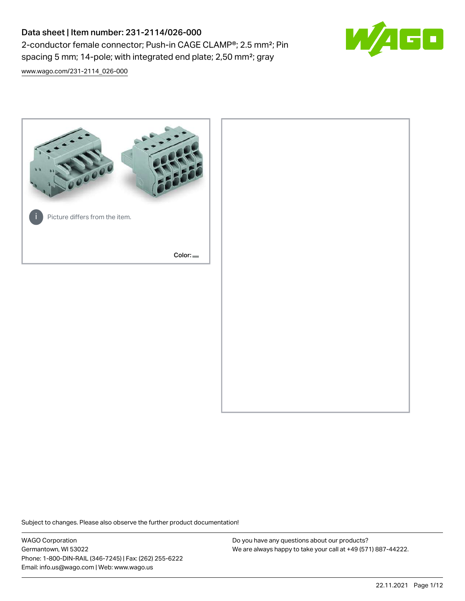# Data sheet | Item number: 231-2114/026-000 2-conductor female connector; Push-in CAGE CLAMP®; 2.5 mm²; Pin spacing 5 mm; 14-pole; with integrated end plate; 2,50 mm²; gray



[www.wago.com/231-2114\\_026-000](http://www.wago.com/231-2114_026-000)



Subject to changes. Please also observe the further product documentation!

WAGO Corporation Germantown, WI 53022 Phone: 1-800-DIN-RAIL (346-7245) | Fax: (262) 255-6222 Email: info.us@wago.com | Web: www.wago.us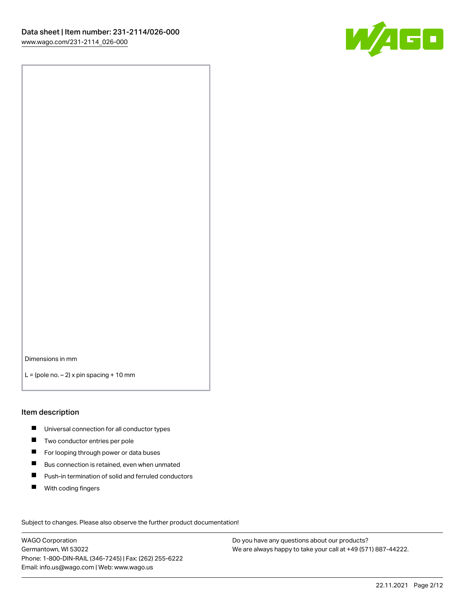

Dimensions in mm

 $L =$  (pole no.  $-2$ ) x pin spacing + 10 mm

#### Item description

- **Universal connection for all conductor types**
- **Two conductor entries per pole**
- $\blacksquare$ For looping through power or data buses
- $\blacksquare$ Bus connection is retained, even when unmated
- $\blacksquare$ Push-in termination of solid and ferruled conductors
- $\blacksquare$ With coding fingers

Subject to changes. Please also observe the further product documentation! Data

WAGO Corporation Germantown, WI 53022 Phone: 1-800-DIN-RAIL (346-7245) | Fax: (262) 255-6222 Email: info.us@wago.com | Web: www.wago.us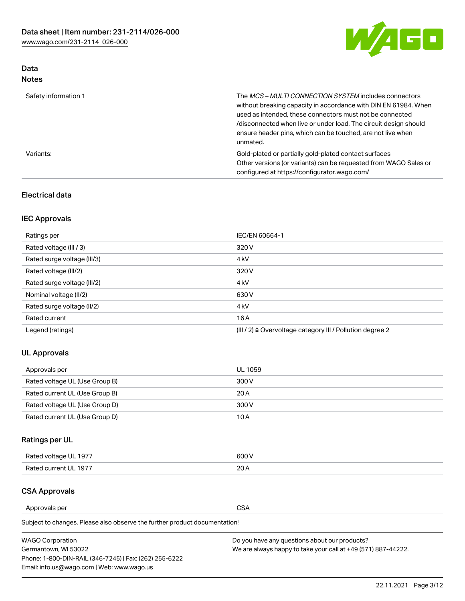

## Data Notes

| Safety information 1 | The MCS-MULTI CONNECTION SYSTEM includes connectors<br>without breaking capacity in accordance with DIN EN 61984. When<br>used as intended, these connectors must not be connected<br>/disconnected when live or under load. The circuit design should<br>ensure header pins, which can be touched, are not live when<br>unmated. |
|----------------------|-----------------------------------------------------------------------------------------------------------------------------------------------------------------------------------------------------------------------------------------------------------------------------------------------------------------------------------|
| Variants:            | Gold-plated or partially gold-plated contact surfaces<br>Other versions (or variants) can be requested from WAGO Sales or<br>configured at https://configurator.wago.com/                                                                                                                                                         |

### Electrical data

## IEC Approvals

| Ratings per                 | IEC/EN 60664-1                                                        |
|-----------------------------|-----------------------------------------------------------------------|
| Rated voltage (III / 3)     | 320 V                                                                 |
| Rated surge voltage (III/3) | 4 <sub>k</sub> V                                                      |
| Rated voltage (III/2)       | 320 V                                                                 |
| Rated surge voltage (III/2) | 4 <sub>k</sub> V                                                      |
| Nominal voltage (II/2)      | 630 V                                                                 |
| Rated surge voltage (II/2)  | 4 <sub>k</sub> V                                                      |
| Rated current               | 16A                                                                   |
| Legend (ratings)            | $(III / 2)$ $\triangle$ Overvoltage category III / Pollution degree 2 |

### UL Approvals

| Approvals per                  | UL 1059 |
|--------------------------------|---------|
| Rated voltage UL (Use Group B) | 300 V   |
| Rated current UL (Use Group B) | 20 A    |
| Rated voltage UL (Use Group D) | 300 V   |
| Rated current UL (Use Group D) | 10 A    |

## Ratings per UL

| Rated voltage UL 1977 | 500 V |
|-----------------------|-------|
| Rated current UL 1977 | ົດ    |

#### CSA Approvals

Approvals per CSA

Subject to changes. Please also observe the further product documentation!

| <b>WAGO Corporation</b>                                | Do you have any questions about our products?                 |
|--------------------------------------------------------|---------------------------------------------------------------|
| Germantown, WI 53022                                   | We are always happy to take your call at +49 (571) 887-44222. |
| Phone: 1-800-DIN-RAIL (346-7245)   Fax: (262) 255-6222 |                                                               |
| Email: info.us@wago.com   Web: www.wago.us             |                                                               |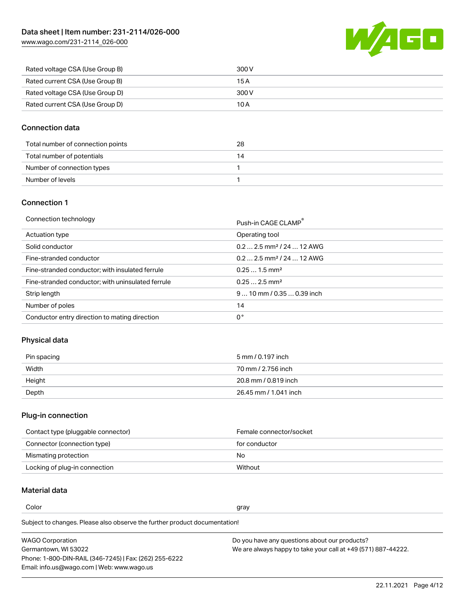WAGO

| www.wago.com/231-2114_026-000 |  |
|-------------------------------|--|
|                               |  |

| Rated voltage CSA (Use Group B) | 300 V |
|---------------------------------|-------|
| Rated current CSA (Use Group B) | 15 A  |
| Rated voltage CSA (Use Group D) | 300 V |
| Rated current CSA (Use Group D) | 10 A  |

### Connection data

| Total number of connection points | 28 |
|-----------------------------------|----|
| Total number of potentials        |    |
| Number of connection types        |    |
| Number of levels                  |    |

#### Connection 1

| Connection technology |  |
|-----------------------|--|
|                       |  |

| Connection technology                             | Push-in CAGE CLAMP®                   |
|---------------------------------------------------|---------------------------------------|
| Actuation type                                    | Operating tool                        |
| Solid conductor                                   | $0.22.5$ mm <sup>2</sup> / 24  12 AWG |
| Fine-stranded conductor                           | $0.22.5$ mm <sup>2</sup> / 24  12 AWG |
| Fine-stranded conductor; with insulated ferrule   | $0.251.5$ mm <sup>2</sup>             |
| Fine-stranded conductor; with uninsulated ferrule | $0.252.5$ mm <sup>2</sup>             |
| Strip length                                      | $9 10$ mm $/ 0.35 0.39$ inch          |
| Number of poles                                   | 14                                    |
| Conductor entry direction to mating direction     | 0°                                    |

## Physical data

| Pin spacing | 5 mm / 0.197 inch     |
|-------------|-----------------------|
| Width       | 70 mm / 2.756 inch    |
| Height      | 20.8 mm / 0.819 inch  |
| Depth       | 26.45 mm / 1.041 inch |

## Plug-in connection

| Contact type (pluggable connector) | Female connector/socket |
|------------------------------------|-------------------------|
| Connector (connection type)        | for conductor           |
| Mismating protection               | No.                     |
| Locking of plug-in connection      | Without                 |

## Material data

Color and the color of the color of the color of the color of the color of the color of the color of the color

Subject to changes. Please also observe the further product documentation! Material group I

| <b>WAGO Corporation</b>                                | Do you have any questions about our products?                 |
|--------------------------------------------------------|---------------------------------------------------------------|
| Germantown, WI 53022                                   | We are always happy to take your call at +49 (571) 887-44222. |
| Phone: 1-800-DIN-RAIL (346-7245)   Fax: (262) 255-6222 |                                                               |
| Email: info.us@wago.com   Web: www.wago.us             |                                                               |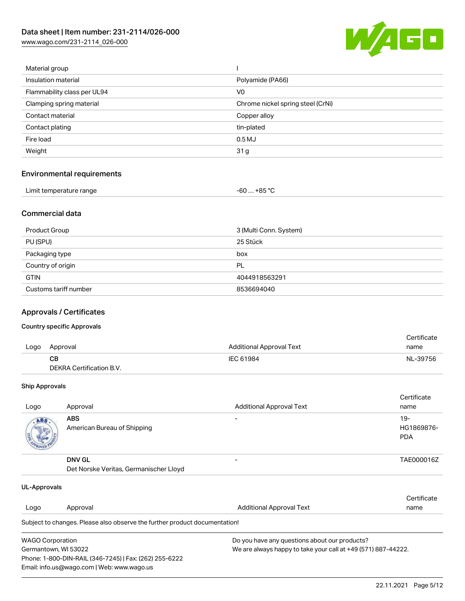[www.wago.com/231-2114\\_026-000](http://www.wago.com/231-2114_026-000)



| Material group              |                                   |
|-----------------------------|-----------------------------------|
| Insulation material         | Polyamide (PA66)                  |
| Flammability class per UL94 | V <sub>0</sub>                    |
| Clamping spring material    | Chrome nickel spring steel (CrNi) |
| Contact material            | Copper alloy                      |
| Contact plating             | tin-plated                        |
| Fire load                   | $0.5$ MJ                          |
| Weight                      | 31 <sub>g</sub>                   |
|                             |                                   |

#### Environmental requirements

| Limit temperature range | -60  +85 °Ր |
|-------------------------|-------------|
|-------------------------|-------------|

#### Commercial data

| Product Group         | 3 (Multi Conn. System) |
|-----------------------|------------------------|
| PU (SPU)              | 25 Stück               |
| Packaging type        | box                    |
| Country of origin     | PL                     |
| <b>GTIN</b>           | 4044918563291          |
| Customs tariff number | 8536694040             |

#### Approvals / Certificates

#### Country specific Approvals

|      |                          |                                 | Certificate |
|------|--------------------------|---------------------------------|-------------|
| Logo | Approval                 | <b>Additional Approval Text</b> | name        |
|      | CВ                       | IEC 61984                       | NL-39756    |
|      | DEKRA Certification B.V. |                                 |             |

#### Ship Approvals

| Logo | Approval                                                | <b>Additional Approval Text</b> | Certificate<br>name                |
|------|---------------------------------------------------------|---------------------------------|------------------------------------|
| ABS  | <b>ABS</b><br>American Bureau of Shipping               | $\overline{\phantom{0}}$        | $19 -$<br>HG1869876-<br><b>PDA</b> |
|      | <b>DNV GL</b><br>Det Norske Veritas, Germanischer Lloyd | $\overline{\phantom{0}}$        | TAE000016Z                         |

| UL-Approvals                                                                          |                                                                            |                                               |             |  |
|---------------------------------------------------------------------------------------|----------------------------------------------------------------------------|-----------------------------------------------|-------------|--|
|                                                                                       |                                                                            |                                               | Certificate |  |
| Logo                                                                                  | Approval                                                                   | <b>Additional Approval Text</b>               | name        |  |
|                                                                                       | Subject to changes. Please also observe the further product documentation! |                                               |             |  |
| <b>WAGO Corporation</b>                                                               |                                                                            | Do you have any questions about our products? |             |  |
| We are always happy to take your call at +49 (571) 887-44222.<br>Germantown, WI 53022 |                                                                            |                                               |             |  |
|                                                                                       | Phone: 1-800-DIN-RAIL (346-7245)   Fax: (262) 255-6222                     |                                               |             |  |
|                                                                                       | Email: info.us@wago.com   Web: www.wago.us                                 |                                               |             |  |

22.11.2021 Page 5/12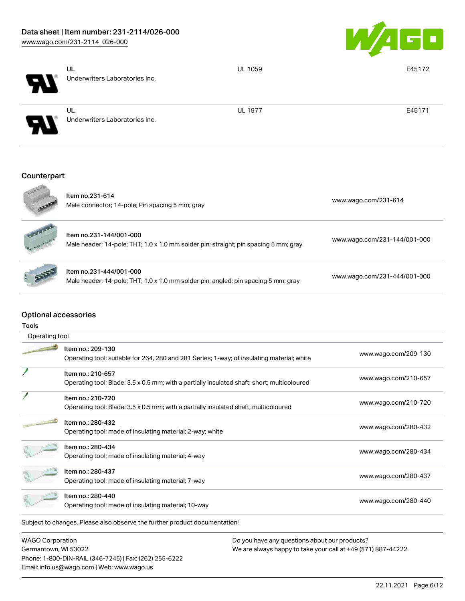

| Counterpart |                                             |                |        |
|-------------|---------------------------------------------|----------------|--------|
| РV          | <b>UL</b><br>Underwriters Laboratories Inc. | <b>UL 1977</b> | E45171 |
| EV.         | UL<br>Underwriters Laboratories Inc.        | <b>UL 1059</b> | E45172 |



Item no.231-614 ntermit.251.014<br>Male connector; 14-pole; Pin spacing 5 mm; gray [www.wago.com/231-614](https://www.wago.com/231-614) Item no.231-144/001-000 Male header; 14-pole; THT; 1.0 x 1.0 mm solder pin; straight; pin spacing 5 mm; gray [www.wago.com/231-144/001-000](https://www.wago.com/231-144/001-000)



Tools

# Item no.231-444/001-000

Male header; 14-pole; THT; 1.0 x 1.0 mm solder pin; angled; pin spacing 5 mm; gray [www.wago.com/231-444/001-000](https://www.wago.com/231-444/001-000)

### Optional accessories

Subject to changes. Please also observe the further product documentation! Operating tool Item no.: 209-130 Operating tool; suitable for 264, 280 and 281 Series; 1-way; of insulating material; white [www.wago.com/209-130](http://www.wago.com/209-130) Item no.: 210-657 Operating tool; Blade: 3.5 x 0.5 mm; with a partially insulated shaft; short; multicoloured [www.wago.com/210-657](http://www.wago.com/210-657) Item no.: 210-720 Operating tool; Blade: 3.5 x 0.5 mm; with a partially insulated shaft; multicoloured [www.wago.com/210-720](http://www.wago.com/210-720) Item no.: 280-432 Operating tool; made of insulating material; 2-way; white [www.wago.com/280-432](http://www.wago.com/280-432)<br>Completed by the www.wago.com/280-432 Item no.: 280-434 ntem no... 200 404<br>Operating tool; made of insulating material; 4-way [www.wago.com/280-434](http://www.wago.com/280-434) Item no.: 280-437 Operating tool; made of insulating material; 7-way [www.wago.com/280-437](http://www.wago.com/280-437) Item no.: 280-440 ntem no... 200 440<br>Operating tool; made of insulating material; 10-way [www.wago.com/280-440](http://www.wago.com/280-440)

WAGO Corporation Germantown, WI 53022 Phone: 1-800-DIN-RAIL (346-7245) | Fax: (262) 255-6222 Email: info.us@wago.com | Web: www.wago.us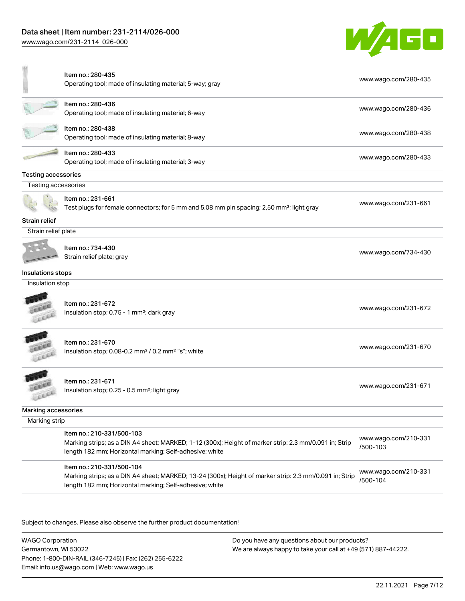[www.wago.com/231-2114\\_026-000](http://www.wago.com/231-2114_026-000)



| Item no.: 280-436<br>Operating tool; made of insulating material; 6-way<br>Item no.: 280-438<br>Operating tool; made of insulating material; 8-way<br>Item no.: 280-433<br>Operating tool; made of insulating material; 3-way<br>Testing accessories<br>Testing accessories<br>Item no.: 231-661<br>Strain relief<br>Strain relief plate<br>Item no.: 734-430<br>Strain relief plate; gray<br>Insulations stops |                                                                                                                                                                   |                                  |
|-----------------------------------------------------------------------------------------------------------------------------------------------------------------------------------------------------------------------------------------------------------------------------------------------------------------------------------------------------------------------------------------------------------------|-------------------------------------------------------------------------------------------------------------------------------------------------------------------|----------------------------------|
|                                                                                                                                                                                                                                                                                                                                                                                                                 |                                                                                                                                                                   | www.wago.com/280-436             |
|                                                                                                                                                                                                                                                                                                                                                                                                                 |                                                                                                                                                                   | www.wago.com/280-438             |
|                                                                                                                                                                                                                                                                                                                                                                                                                 |                                                                                                                                                                   | www.wago.com/280-433             |
|                                                                                                                                                                                                                                                                                                                                                                                                                 |                                                                                                                                                                   |                                  |
|                                                                                                                                                                                                                                                                                                                                                                                                                 |                                                                                                                                                                   |                                  |
|                                                                                                                                                                                                                                                                                                                                                                                                                 | Test plugs for female connectors; for 5 mm and 5.08 mm pin spacing; 2,50 mm <sup>2</sup> ; light gray                                                             | www.wago.com/231-661             |
|                                                                                                                                                                                                                                                                                                                                                                                                                 |                                                                                                                                                                   |                                  |
|                                                                                                                                                                                                                                                                                                                                                                                                                 |                                                                                                                                                                   |                                  |
|                                                                                                                                                                                                                                                                                                                                                                                                                 |                                                                                                                                                                   | www.wago.com/734-430             |
|                                                                                                                                                                                                                                                                                                                                                                                                                 |                                                                                                                                                                   |                                  |
| Insulation stop                                                                                                                                                                                                                                                                                                                                                                                                 |                                                                                                                                                                   |                                  |
| Item no.: 231-672<br>Insulation stop; 0.75 - 1 mm <sup>2</sup> ; dark gray                                                                                                                                                                                                                                                                                                                                      |                                                                                                                                                                   | www.wago.com/231-672             |
| Item no.: 231-670<br>Insulation stop; 0.08-0.2 mm <sup>2</sup> / 0.2 mm <sup>2</sup> "s"; white                                                                                                                                                                                                                                                                                                                 |                                                                                                                                                                   | www.wago.com/231-670             |
| Item no.: 231-671<br>Insulation stop; 0.25 - 0.5 mm <sup>2</sup> ; light gray                                                                                                                                                                                                                                                                                                                                   |                                                                                                                                                                   | www.wago.com/231-671             |
| Marking accessories                                                                                                                                                                                                                                                                                                                                                                                             |                                                                                                                                                                   |                                  |
| Marking strip                                                                                                                                                                                                                                                                                                                                                                                                   |                                                                                                                                                                   |                                  |
| Item no.: 210-331/500-103                                                                                                                                                                                                                                                                                                                                                                                       | Marking strips; as a DIN A4 sheet; MARKED; 1-12 (300x); Height of marker strip: 2.3 mm/0.091 in; Strip<br>length 182 mm; Horizontal marking; Self-adhesive; white | www.wago.com/210-331<br>/500-103 |
| Item no.: 210-331/500-104<br>Marking strips; as a DIN A4 sheet; MARKED; 13-24 (300x); Height of marker strip: 2.3 mm/0.091 in; Strip<br>length 182 mm; Horizontal marking; Self-adhesive; white                                                                                                                                                                                                                 |                                                                                                                                                                   | www.wago.com/210-331             |

Subject to changes. Please also observe the further product documentation!

WAGO Corporation Germantown, WI 53022 Phone: 1-800-DIN-RAIL (346-7245) | Fax: (262) 255-6222 Email: info.us@wago.com | Web: www.wago.us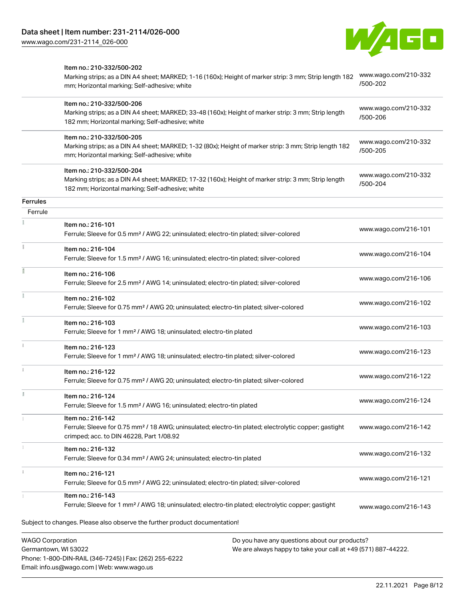

|                         | Item no.: 210-332/500-202<br>Marking strips; as a DIN A4 sheet; MARKED; 1-16 (160x); Height of marker strip: 3 mm; Strip length 182<br>mm; Horizontal marking; Self-adhesive; white  | www.wago.com/210-332<br>/500-202 |
|-------------------------|--------------------------------------------------------------------------------------------------------------------------------------------------------------------------------------|----------------------------------|
|                         | Item no.: 210-332/500-206<br>Marking strips; as a DIN A4 sheet; MARKED; 33-48 (160x); Height of marker strip: 3 mm; Strip length<br>182 mm; Horizontal marking; Self-adhesive; white | www.wago.com/210-332<br>/500-206 |
|                         | Item no.: 210-332/500-205<br>Marking strips; as a DIN A4 sheet; MARKED; 1-32 (80x); Height of marker strip: 3 mm; Strip length 182<br>mm; Horizontal marking; Self-adhesive; white   | www.wago.com/210-332<br>/500-205 |
|                         | Item no.: 210-332/500-204<br>Marking strips; as a DIN A4 sheet; MARKED; 17-32 (160x); Height of marker strip: 3 mm; Strip length<br>182 mm; Horizontal marking; Self-adhesive; white | www.wago.com/210-332<br>/500-204 |
| Ferrules                |                                                                                                                                                                                      |                                  |
| Ferrule                 |                                                                                                                                                                                      |                                  |
|                         | Item no.: 216-101<br>Ferrule; Sleeve for 0.5 mm <sup>2</sup> / AWG 22; uninsulated; electro-tin plated; silver-colored                                                               | www.wago.com/216-101             |
|                         | Item no.: 216-104<br>Ferrule; Sleeve for 1.5 mm <sup>2</sup> / AWG 16; uninsulated; electro-tin plated; silver-colored                                                               | www.wago.com/216-104             |
|                         | Item no.: 216-106<br>Ferrule; Sleeve for 2.5 mm <sup>2</sup> / AWG 14; uninsulated; electro-tin plated; silver-colored                                                               | www.wago.com/216-106             |
|                         | Item no.: 216-102<br>Ferrule; Sleeve for 0.75 mm <sup>2</sup> / AWG 20; uninsulated; electro-tin plated; silver-colored                                                              | www.wago.com/216-102             |
|                         | Item no.: 216-103<br>Ferrule; Sleeve for 1 mm <sup>2</sup> / AWG 18; uninsulated; electro-tin plated                                                                                 | www.wago.com/216-103             |
|                         | Item no.: 216-123<br>Ferrule; Sleeve for 1 mm <sup>2</sup> / AWG 18; uninsulated; electro-tin plated; silver-colored                                                                 | www.wago.com/216-123             |
|                         | Item no.: 216-122<br>Ferrule; Sleeve for 0.75 mm <sup>2</sup> / AWG 20; uninsulated; electro-tin plated; silver-colored                                                              | www.wago.com/216-122             |
|                         | Item no.: 216-124<br>Ferrule; Sleeve for 1.5 mm <sup>2</sup> / AWG 16; uninsulated; electro-tin plated                                                                               | www.wago.com/216-124             |
|                         | Item no.: 216-142<br>Ferrule; Sleeve for 0.75 mm <sup>2</sup> / 18 AWG; uninsulated; electro-tin plated; electrolytic copper; gastight<br>crimped; acc. to DIN 46228, Part 1/08.92   | www.wago.com/216-142             |
|                         | Item no.: 216-132<br>Ferrule; Sleeve for 0.34 mm <sup>2</sup> / AWG 24; uninsulated; electro-tin plated                                                                              | www.wago.com/216-132             |
|                         | Item no.: 216-121<br>Ferrule; Sleeve for 0.5 mm <sup>2</sup> / AWG 22; uninsulated; electro-tin plated; silver-colored                                                               | www.wago.com/216-121             |
|                         | Item no.: 216-143<br>Ferrule; Sleeve for 1 mm <sup>2</sup> / AWG 18; uninsulated; electro-tin plated; electrolytic copper; gastight                                                  | www.wago.com/216-143             |
|                         | Subject to changes. Please also observe the further product documentation!                                                                                                           |                                  |
| <b>WAGO Corporation</b> | Do you have any questions about our products?                                                                                                                                        |                                  |

We are always happy to take your call at +49 (571) 887-44222.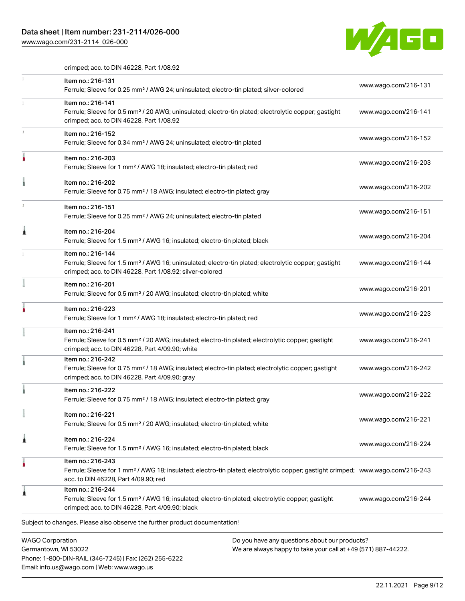## Data sheet | Item number: 231-2114/026-000

[www.wago.com/231-2114\\_026-000](http://www.wago.com/231-2114_026-000)

Email: info.us@wago.com | Web: www.wago.us



crimped; acc. to DIN 46228, Part 1/08.92

|   | Item no.: 216-131<br>Ferrule; Sleeve for 0.25 mm <sup>2</sup> / AWG 24; uninsulated; electro-tin plated; silver-colored                                                                                 | www.wago.com/216-131                                          |
|---|---------------------------------------------------------------------------------------------------------------------------------------------------------------------------------------------------------|---------------------------------------------------------------|
|   | Item no.: 216-141<br>Ferrule; Sleeve for 0.5 mm <sup>2</sup> / 20 AWG; uninsulated; electro-tin plated; electrolytic copper; gastight<br>crimped; acc. to DIN 46228, Part 1/08.92                       | www.wago.com/216-141                                          |
|   | Item no.: 216-152<br>Ferrule; Sleeve for 0.34 mm <sup>2</sup> / AWG 24; uninsulated; electro-tin plated                                                                                                 | www.wago.com/216-152                                          |
|   | Item no.: 216-203<br>Ferrule; Sleeve for 1 mm <sup>2</sup> / AWG 18; insulated; electro-tin plated; red                                                                                                 | www.wago.com/216-203                                          |
|   | Item no.: 216-202<br>Ferrule; Sleeve for 0.75 mm <sup>2</sup> / 18 AWG; insulated; electro-tin plated; gray                                                                                             | www.wago.com/216-202                                          |
|   | Item no.: 216-151<br>Ferrule; Sleeve for 0.25 mm <sup>2</sup> / AWG 24; uninsulated; electro-tin plated                                                                                                 | www.wago.com/216-151                                          |
|   | Item no.: 216-204<br>Ferrule; Sleeve for 1.5 mm <sup>2</sup> / AWG 16; insulated; electro-tin plated; black                                                                                             | www.wago.com/216-204                                          |
|   | Item no.: 216-144<br>Ferrule; Sleeve for 1.5 mm <sup>2</sup> / AWG 16; uninsulated; electro-tin plated; electrolytic copper; gastight<br>crimped; acc. to DIN 46228, Part 1/08.92; silver-colored       | www.wago.com/216-144                                          |
|   | Item no.: 216-201<br>Ferrule; Sleeve for 0.5 mm <sup>2</sup> / 20 AWG; insulated; electro-tin plated; white                                                                                             | www.wago.com/216-201                                          |
|   | Item no.: 216-223<br>Ferrule; Sleeve for 1 mm <sup>2</sup> / AWG 18; insulated; electro-tin plated; red                                                                                                 | www.wago.com/216-223                                          |
|   | Item no.: 216-241<br>Ferrule; Sleeve for 0.5 mm <sup>2</sup> / 20 AWG; insulated; electro-tin plated; electrolytic copper; gastight<br>crimped; acc. to DIN 46228, Part 4/09.90; white                  | www.wago.com/216-241                                          |
|   | Item no.: 216-242<br>Ferrule; Sleeve for 0.75 mm <sup>2</sup> / 18 AWG; insulated; electro-tin plated; electrolytic copper; gastight<br>crimped; acc. to DIN 46228, Part 4/09.90; gray                  | www.wago.com/216-242                                          |
|   | Item no.: 216-222<br>Ferrule; Sleeve for 0.75 mm <sup>2</sup> / 18 AWG; insulated; electro-tin plated; gray                                                                                             | www.wago.com/216-222                                          |
| ÷ | Item no.: 216-221<br>Ferrule; Sleeve for 0.5 mm <sup>2</sup> / 20 AWG; insulated; electro-tin plated; white                                                                                             | www.wago.com/216-221                                          |
| ٨ | Item no.: 216-224<br>Ferrule; Sleeve for 1.5 mm <sup>2</sup> / AWG 16; insulated; electro-tin plated; black                                                                                             | www.wago.com/216-224                                          |
|   | Item no.: 216-243<br>Ferrule; Sleeve for 1 mm <sup>2</sup> / AWG 18; insulated; electro-tin plated; electrolytic copper; gastight crimped; www.wago.com/216-243<br>acc. to DIN 46228, Part 4/09.90; red |                                                               |
|   | Item no.: 216-244<br>Ferrule; Sleeve for 1.5 mm <sup>2</sup> / AWG 16; insulated; electro-tin plated; electrolytic copper; gastight<br>crimped; acc. to DIN 46228, Part 4/09.90; black                  | www.wago.com/216-244                                          |
|   | Subject to changes. Please also observe the further product documentation!                                                                                                                              |                                                               |
|   | <b>WAGO Corporation</b><br>Do you have any questions about our products?<br>Germantown, WI 53022<br>Phone: 1-800-DIN-RAIL (346-7245)   Fax: (262) 255-6222                                              | We are always happy to take your call at +49 (571) 887-44222. |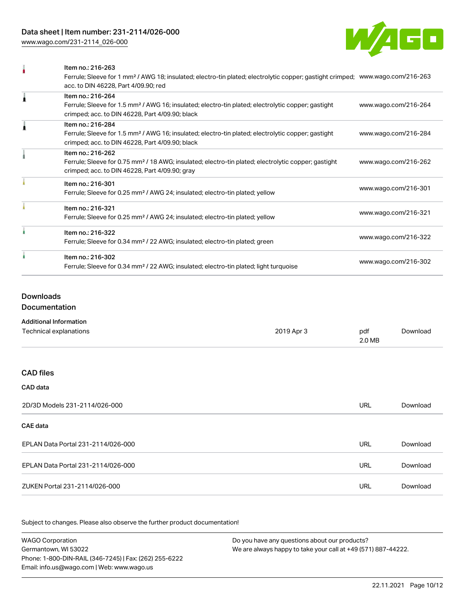[www.wago.com/231-2114\\_026-000](http://www.wago.com/231-2114_026-000)



| Item no.: 216-263                                                                                                                          |                      |
|--------------------------------------------------------------------------------------------------------------------------------------------|----------------------|
| Ferrule; Sleeve for 1 mm <sup>2</sup> / AWG 18; insulated; electro-tin plated; electrolytic copper; gastight crimped; www.wago.com/216-263 |                      |
| acc. to DIN 46228, Part 4/09.90; red                                                                                                       |                      |
| Item no.: 216-264                                                                                                                          |                      |
| Ferrule; Sleeve for 1.5 mm <sup>2</sup> / AWG 16; insulated; electro-tin plated; electrolytic copper; gastight                             | www.wago.com/216-264 |
| crimped; acc. to DIN 46228, Part 4/09.90; black                                                                                            |                      |
| Item no.: 216-284                                                                                                                          |                      |
| Ferrule; Sleeve for 1.5 mm <sup>2</sup> / AWG 16; insulated; electro-tin plated; electrolytic copper; gastight                             | www.wago.com/216-284 |
| crimped; acc. to DIN 46228, Part 4/09.90; black                                                                                            |                      |
| Item no.: 216-262                                                                                                                          |                      |
| Ferrule; Sleeve for 0.75 mm <sup>2</sup> / 18 AWG; insulated; electro-tin plated; electrolytic copper; gastight                            | www.wago.com/216-262 |
| crimped; acc. to DIN 46228, Part 4/09.90; gray                                                                                             |                      |
| Item no.: 216-301                                                                                                                          |                      |
| Ferrule; Sleeve for 0.25 mm <sup>2</sup> / AWG 24; insulated; electro-tin plated; yellow                                                   | www.wago.com/216-301 |
| Item no.: 216-321                                                                                                                          |                      |
| Ferrule; Sleeve for 0.25 mm <sup>2</sup> / AWG 24; insulated; electro-tin plated; yellow                                                   | www.wago.com/216-321 |
| Item no.: 216-322                                                                                                                          |                      |
| Ferrule; Sleeve for 0.34 mm <sup>2</sup> / 22 AWG; insulated; electro-tin plated; green                                                    | www.wago.com/216-322 |
| Item no.: 216-302                                                                                                                          |                      |
| Ferrule; Sleeve for 0.34 mm <sup>2</sup> / 22 AWG; insulated; electro-tin plated; light turquoise                                          | www.wago.com/216-302 |
|                                                                                                                                            |                      |

### Downloads

Documentation

#### Additional Information

| Technical explanations             | 2019 Apr 3 | pdf<br>2.0 MB | Download |
|------------------------------------|------------|---------------|----------|
|                                    |            |               |          |
| <b>CAD files</b>                   |            |               |          |
| CAD data                           |            |               |          |
| 2D/3D Models 231-2114/026-000      |            | <b>URL</b>    | Download |
| <b>CAE</b> data                    |            |               |          |
| EPLAN Data Portal 231-2114/026-000 |            | <b>URL</b>    | Download |
| EPLAN Data Portal 231-2114/026-000 |            | <b>URL</b>    | Download |
| ZUKEN Portal 231-2114/026-000      |            | URL           | Download |

Subject to changes. Please also observe the further product documentation!

WAGO Corporation Germantown, WI 53022 Phone: 1-800-DIN-RAIL (346-7245) | Fax: (262) 255-6222 Email: info.us@wago.com | Web: www.wago.us Do you have any questions about our products? We are always happy to take your call at +49 (571) 887-44222.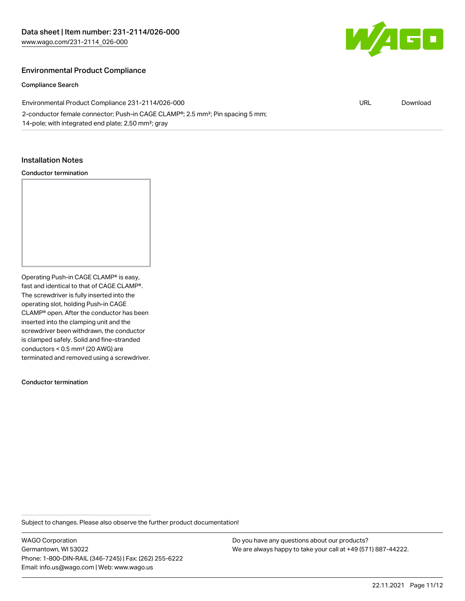

## Environmental Product Compliance

#### Compliance Search

| Environmental Product Compliance 231-2114/026-000                                                       | URL | Download |
|---------------------------------------------------------------------------------------------------------|-----|----------|
| 2-conductor female connector; Push-in CAGE CLAMP <sup>®</sup> ; 2.5 mm <sup>2</sup> ; Pin spacing 5 mm; |     |          |
| 14-pole; with integrated end plate; 2,50 mm <sup>2</sup> ; gray                                         |     |          |

#### Installation Notes

#### Conductor termination



Operating Push-in CAGE CLAMP® is easy, fast and identical to that of CAGE CLAMP®. The screwdriver is fully inserted into the operating slot, holding Push-in CAGE CLAMP® open. After the conductor has been inserted into the clamping unit and the screwdriver been withdrawn, the conductor is clamped safely. Solid and fine-stranded conductors < 0.5 mm² (20 AWG) are terminated and removed using a screwdriver.

Conductor termination

Subject to changes. Please also observe the further product documentation!

WAGO Corporation Germantown, WI 53022 Phone: 1-800-DIN-RAIL (346-7245) | Fax: (262) 255-6222 Email: info.us@wago.com | Web: www.wago.us